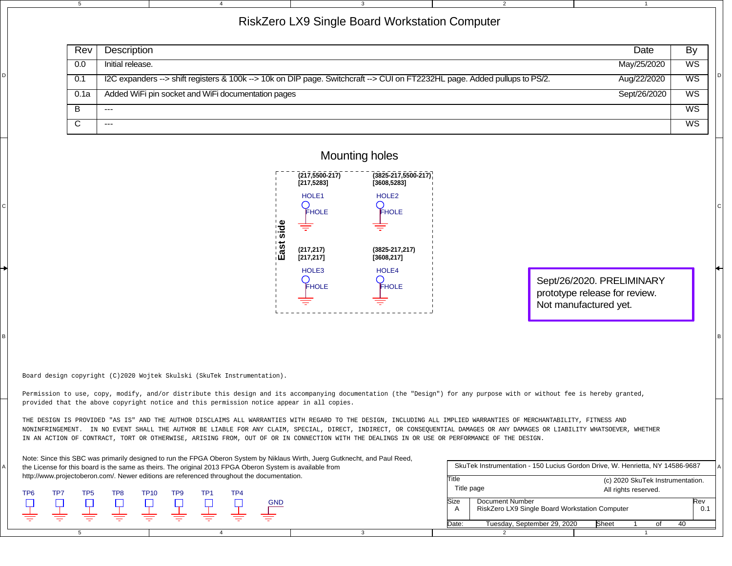|                                                                                                                                                                                                        |                                                                                                                                                                                                                                                                                                                            | $5\overline{5}$                                                                                                                                                    | 3<br>$\overline{2}$<br>$\overline{4}$<br>$\mathbf{1}$                                                                                     |                 |  |  |
|--------------------------------------------------------------------------------------------------------------------------------------------------------------------------------------------------------|----------------------------------------------------------------------------------------------------------------------------------------------------------------------------------------------------------------------------------------------------------------------------------------------------------------------------|--------------------------------------------------------------------------------------------------------------------------------------------------------------------|-------------------------------------------------------------------------------------------------------------------------------------------|-----------------|--|--|
|                                                                                                                                                                                                        | RiskZero LX9 Single Board Workstation Computer                                                                                                                                                                                                                                                                             |                                                                                                                                                                    |                                                                                                                                           |                 |  |  |
|                                                                                                                                                                                                        |                                                                                                                                                                                                                                                                                                                            | Rev                                                                                                                                                                | Description<br>Date                                                                                                                       | By              |  |  |
|                                                                                                                                                                                                        |                                                                                                                                                                                                                                                                                                                            | 0.0                                                                                                                                                                | May/25/2020<br>Initial release.                                                                                                           | WS              |  |  |
|                                                                                                                                                                                                        |                                                                                                                                                                                                                                                                                                                            | 0.1                                                                                                                                                                | I2C expanders --> shift registers & 100k --> 10k on DIP page. Switchcraft --> CUI on FT2232HL page. Added pullups to PS/2.<br>Aug/22/2020 | $\overline{ws}$ |  |  |
|                                                                                                                                                                                                        |                                                                                                                                                                                                                                                                                                                            | 0.1a                                                                                                                                                               | Added WiFi pin socket and WiFi documentation pages<br>Sept/26/2020                                                                        | $\overline{WS}$ |  |  |
|                                                                                                                                                                                                        |                                                                                                                                                                                                                                                                                                                            | B                                                                                                                                                                  | $\cdots$                                                                                                                                  | $\overline{ws}$ |  |  |
|                                                                                                                                                                                                        |                                                                                                                                                                                                                                                                                                                            | $\overline{\mathsf{c}}$                                                                                                                                            | $\qquad \qquad - -$                                                                                                                       | $\overline{WS}$ |  |  |
|                                                                                                                                                                                                        |                                                                                                                                                                                                                                                                                                                            |                                                                                                                                                                    |                                                                                                                                           |                 |  |  |
|                                                                                                                                                                                                        | <b>Mounting holes</b>                                                                                                                                                                                                                                                                                                      |                                                                                                                                                                    |                                                                                                                                           |                 |  |  |
|                                                                                                                                                                                                        |                                                                                                                                                                                                                                                                                                                            |                                                                                                                                                                    | $(217, 5500 - 217)$<br>$(3825 - 217, 5500 - 217)$<br>[217, 5283]<br>[3608, 5283]                                                          |                 |  |  |
|                                                                                                                                                                                                        |                                                                                                                                                                                                                                                                                                                            |                                                                                                                                                                    | HOLE <sub>1</sub><br>HOLE <sub>2</sub>                                                                                                    |                 |  |  |
|                                                                                                                                                                                                        |                                                                                                                                                                                                                                                                                                                            |                                                                                                                                                                    | FHOLE<br>FHOLE                                                                                                                            |                 |  |  |
|                                                                                                                                                                                                        |                                                                                                                                                                                                                                                                                                                            |                                                                                                                                                                    | ide<br>side<br>≑                                                                                                                          |                 |  |  |
|                                                                                                                                                                                                        |                                                                                                                                                                                                                                                                                                                            |                                                                                                                                                                    | East<br>East<br>$(3825 - 217, 217)$<br>(217, 217)                                                                                         |                 |  |  |
|                                                                                                                                                                                                        |                                                                                                                                                                                                                                                                                                                            |                                                                                                                                                                    | [217, 217]<br>[3608, 217]                                                                                                                 |                 |  |  |
|                                                                                                                                                                                                        |                                                                                                                                                                                                                                                                                                                            |                                                                                                                                                                    | HOLE3<br>HOLE4<br>Sept/26/2020. PRELIMINARY                                                                                               |                 |  |  |
|                                                                                                                                                                                                        |                                                                                                                                                                                                                                                                                                                            |                                                                                                                                                                    | FHOLE<br><b>FHOLE</b><br>prototype release for review.                                                                                    |                 |  |  |
|                                                                                                                                                                                                        |                                                                                                                                                                                                                                                                                                                            |                                                                                                                                                                    | Not manufactured yet.                                                                                                                     |                 |  |  |
|                                                                                                                                                                                                        |                                                                                                                                                                                                                                                                                                                            |                                                                                                                                                                    |                                                                                                                                           |                 |  |  |
|                                                                                                                                                                                                        |                                                                                                                                                                                                                                                                                                                            |                                                                                                                                                                    |                                                                                                                                           |                 |  |  |
|                                                                                                                                                                                                        |                                                                                                                                                                                                                                                                                                                            |                                                                                                                                                                    |                                                                                                                                           |                 |  |  |
|                                                                                                                                                                                                        |                                                                                                                                                                                                                                                                                                                            |                                                                                                                                                                    | Board design copyright (C)2020 Wojtek Skulski (SkuTek Instrumentation).                                                                   |                 |  |  |
|                                                                                                                                                                                                        | Permission to use, copy, modify, and/or distribute this design and its accompanying documentation (the "Design") for any purpose with or without fee is hereby granted,                                                                                                                                                    |                                                                                                                                                                    |                                                                                                                                           |                 |  |  |
|                                                                                                                                                                                                        | provided that the above copyright notice and this permission notice appear in all copies.                                                                                                                                                                                                                                  |                                                                                                                                                                    |                                                                                                                                           |                 |  |  |
|                                                                                                                                                                                                        |                                                                                                                                                                                                                                                                                                                            | THE DESIGN IS PROVIDED "AS IS" AND THE AUTHOR DISCLAIMS ALL WARRANTIES WITH REGARD TO THE DESIGN, INCLUDING ALL IMPLIED WARRANTIES OF MERCHANTABILITY, FITNESS AND |                                                                                                                                           |                 |  |  |
|                                                                                                                                                                                                        | NONINFRINGEMENT. IN NO EVENT SHALL THE AUTHOR BE LIABLE FOR ANY CLAIM, SPECIAL, DIRECT, INDIRECT, OR CONSEQUENTIAL DAMAGES OR ANY DAMAGES OR LIABILITY WHATSOEVER, WHETHER<br>IN AN ACTION OF CONTRACT, TORT OR OTHERWISE, ARISING FROM, OUT OF OR IN CONNECTION WITH THE DEALINGS IN OR USE OR PERFORMANCE OF THE DESIGN. |                                                                                                                                                                    |                                                                                                                                           |                 |  |  |
|                                                                                                                                                                                                        |                                                                                                                                                                                                                                                                                                                            |                                                                                                                                                                    | Note: Since this SBC was primarily designed to run the FPGA Oberon System by Niklaus Wirth, Juerg Gutknecht, and Paul Reed,               |                 |  |  |
| the License for this board is the same as theirs. The original 2013 FPGA Oberon System is available from<br>http://www.projectoberon.com/. Newer editions are referenced throughout the documentation. |                                                                                                                                                                                                                                                                                                                            |                                                                                                                                                                    | SkuTek Instrumentation - 150 Lucius Gordon Drive, W. Henrietta, NY 14586-9687                                                             |                 |  |  |
|                                                                                                                                                                                                        | TP7                                                                                                                                                                                                                                                                                                                        |                                                                                                                                                                    | Title<br>(c) 2020 SkuTek Instrumentation.<br>Title page<br>All rights reserved.<br>TP8<br><b>TP10</b><br>TP <sub>9</sub><br>TP1<br>TP4    |                 |  |  |
|                                                                                                                                                                                                        | TP <sub>6</sub><br>Ç                                                                                                                                                                                                                                                                                                       | TP <sub>5</sub>                                                                                                                                                    | Document Number<br>Size<br>RiskZero LX9 Single Board Workstation Computer<br>A                                                            | Rev<br>0.1      |  |  |
|                                                                                                                                                                                                        |                                                                                                                                                                                                                                                                                                                            |                                                                                                                                                                    | Tuesday, September 29, 2020<br>Date:<br>Sheet<br>of                                                                                       | 40              |  |  |
|                                                                                                                                                                                                        |                                                                                                                                                                                                                                                                                                                            |                                                                                                                                                                    |                                                                                                                                           |                 |  |  |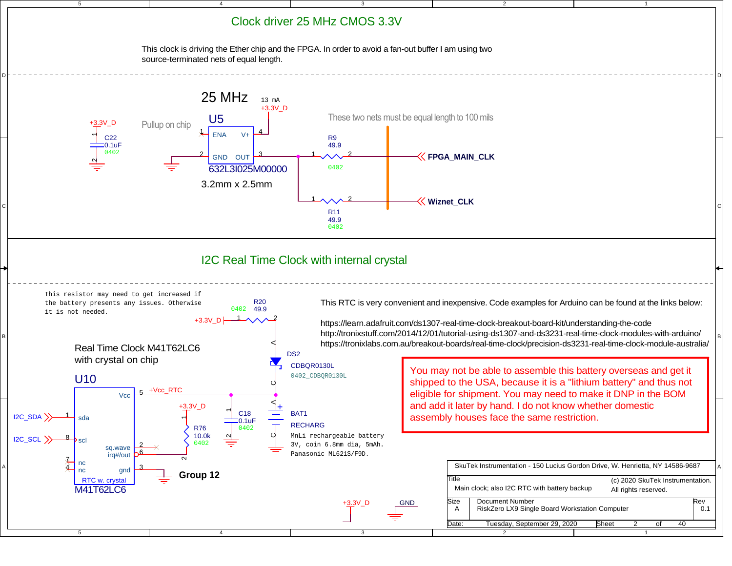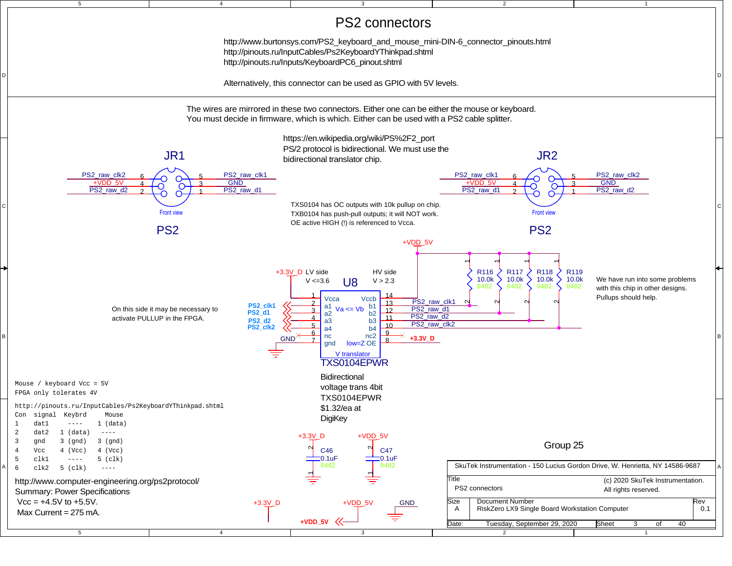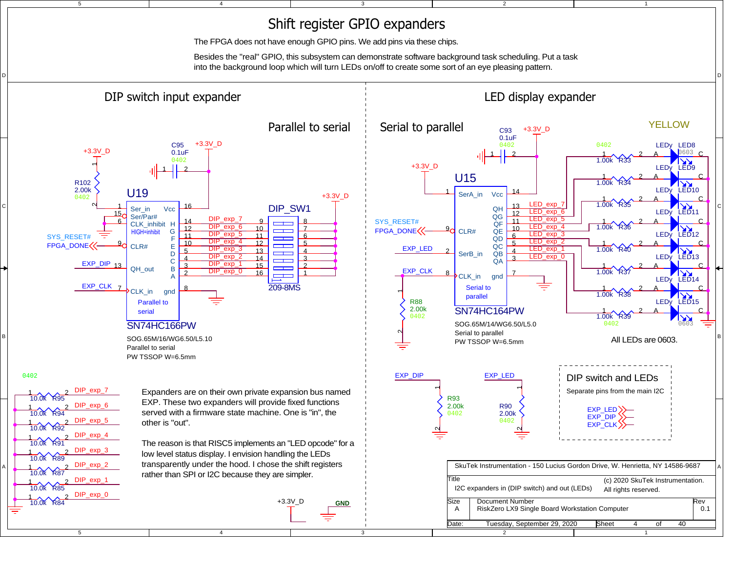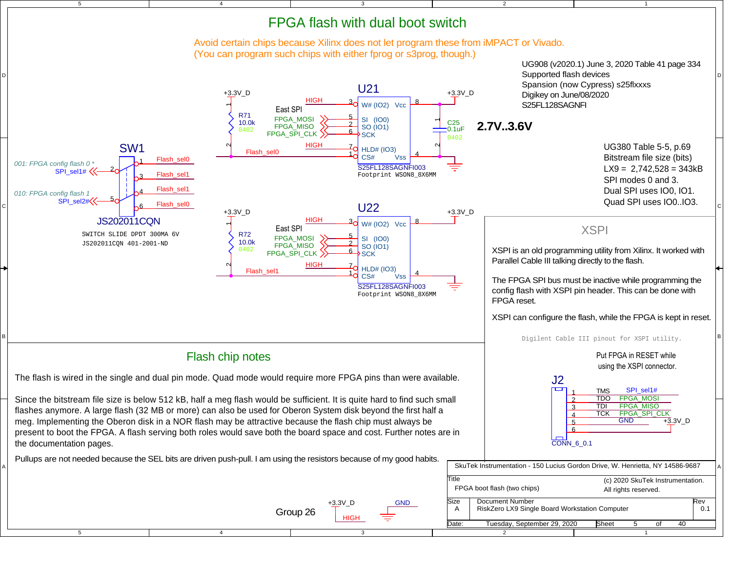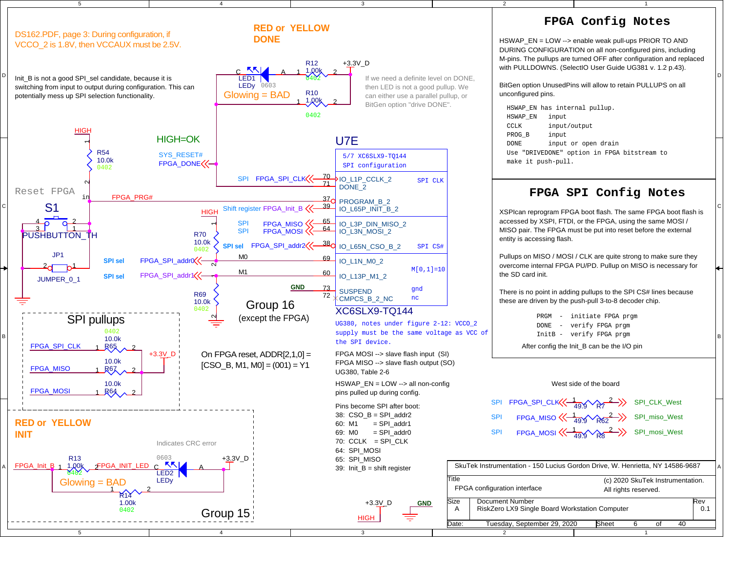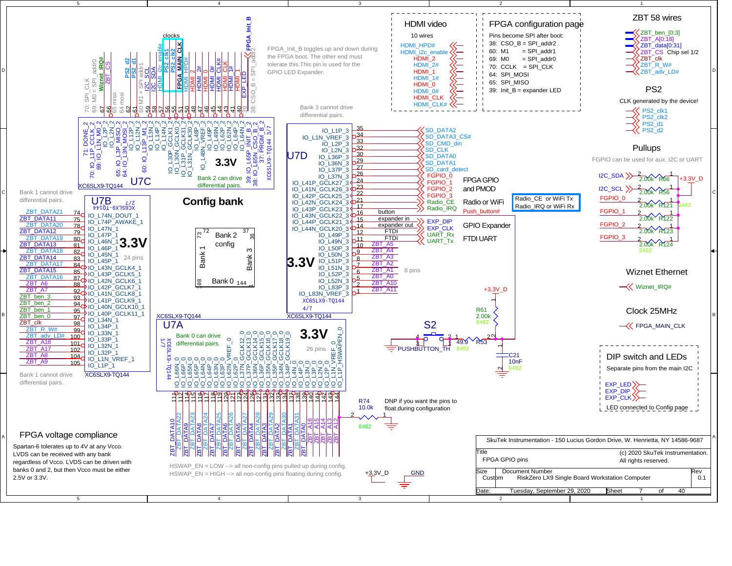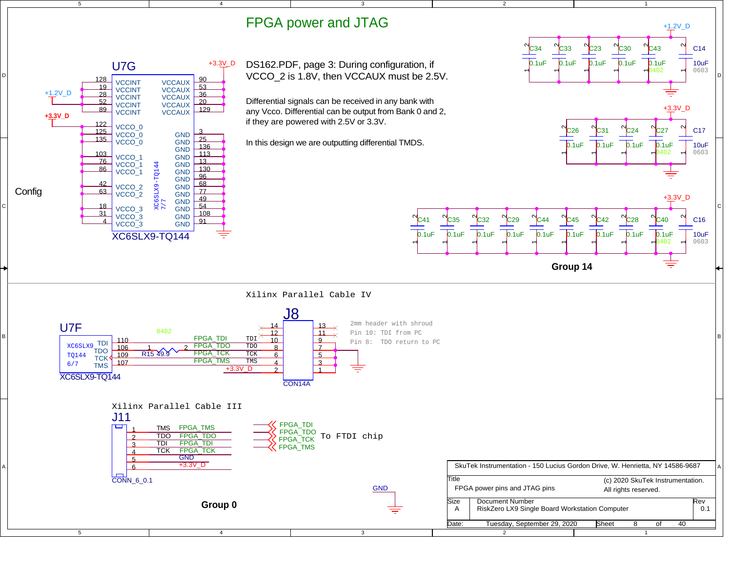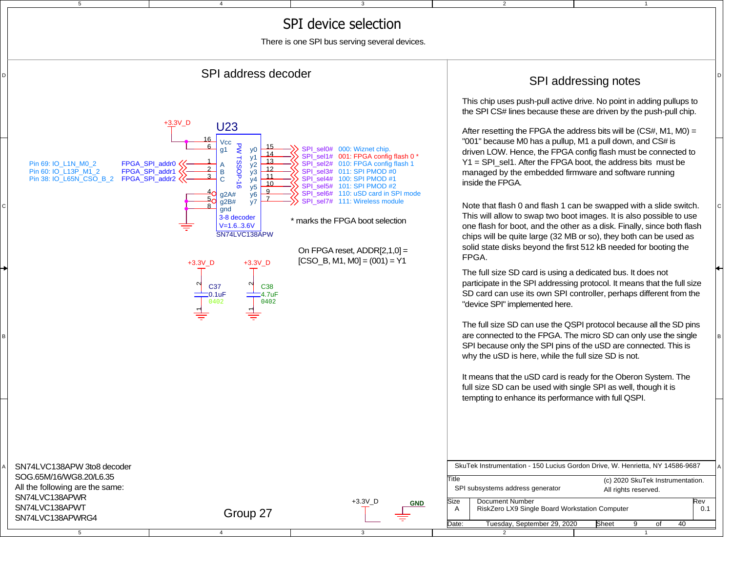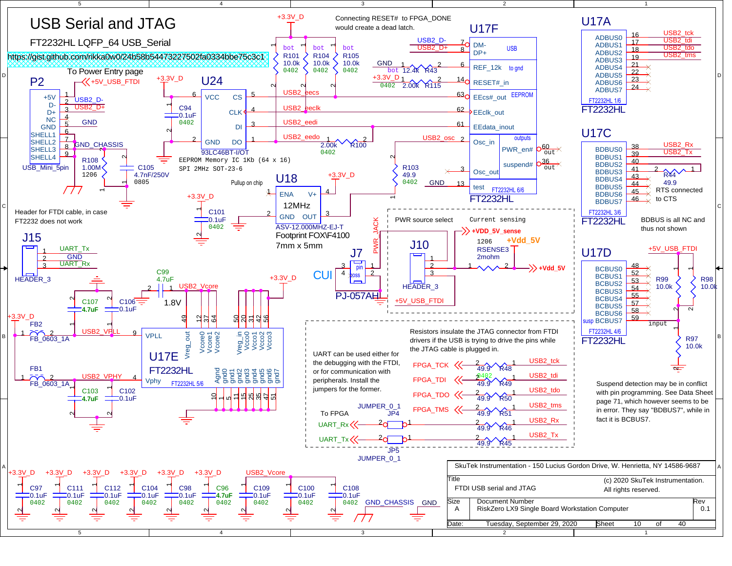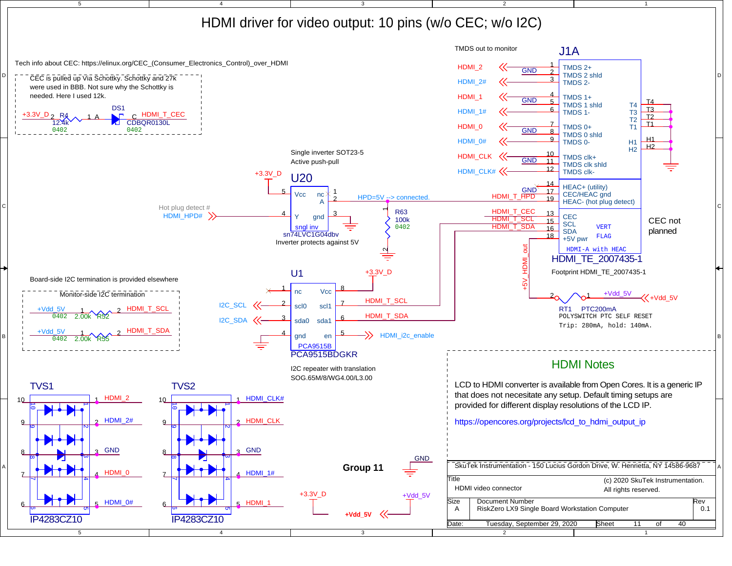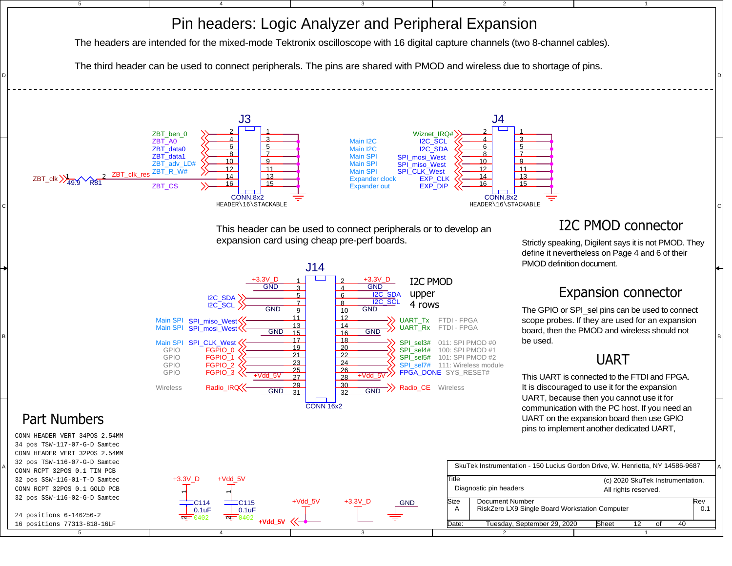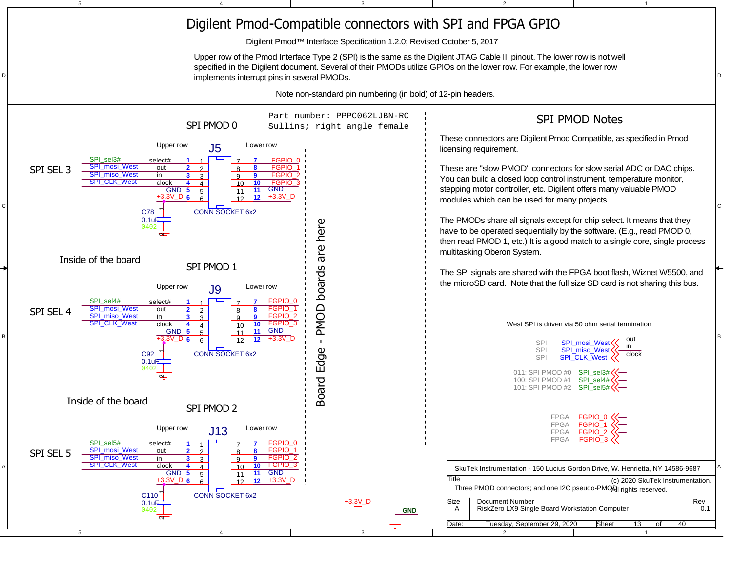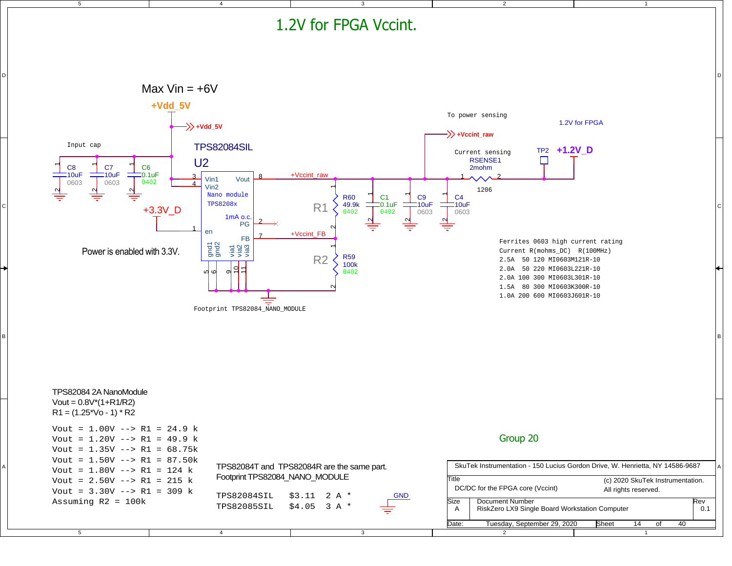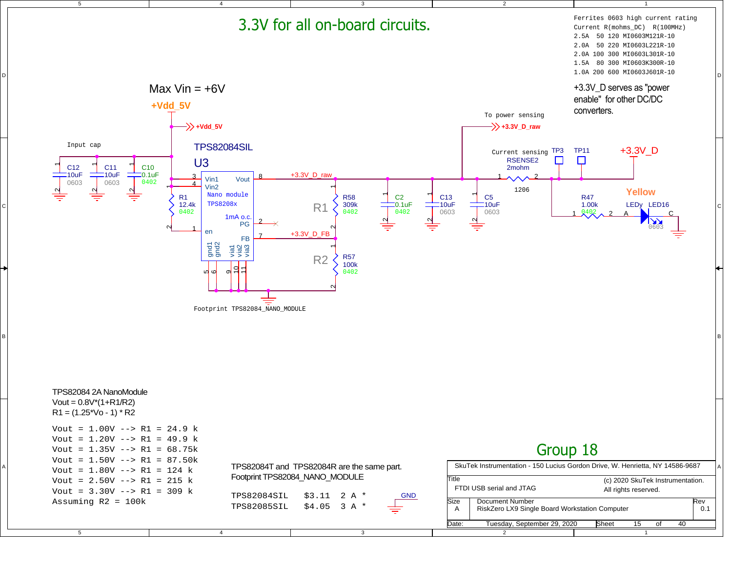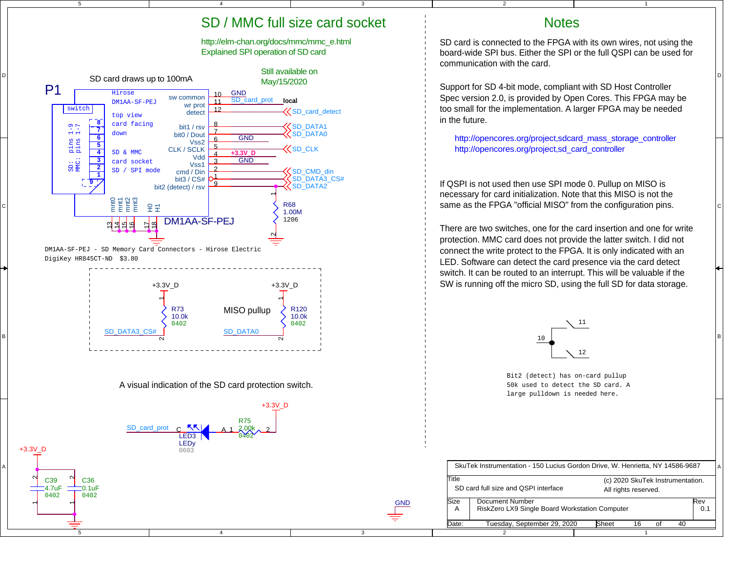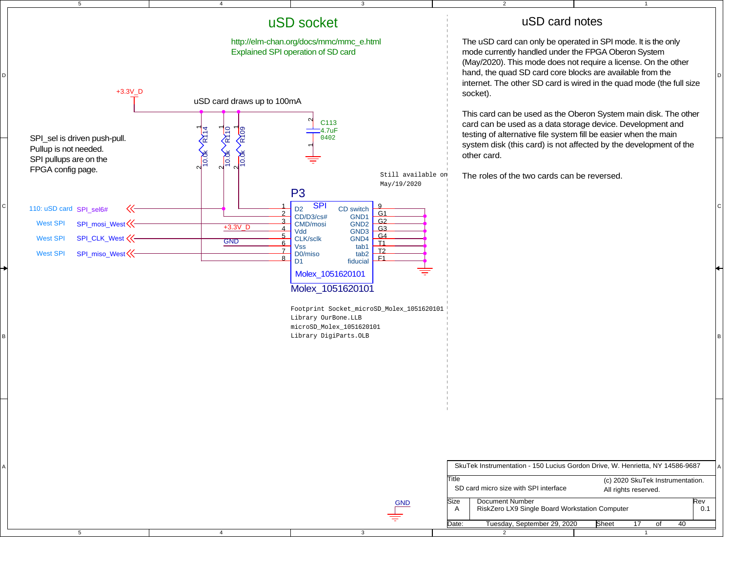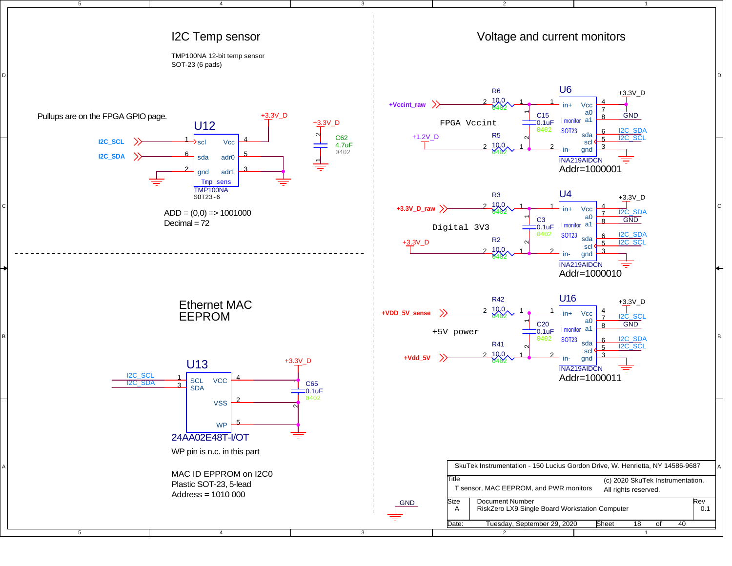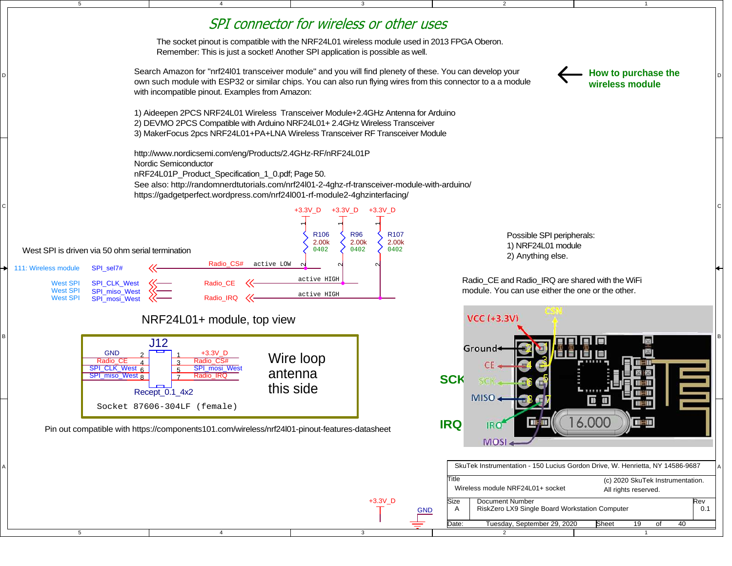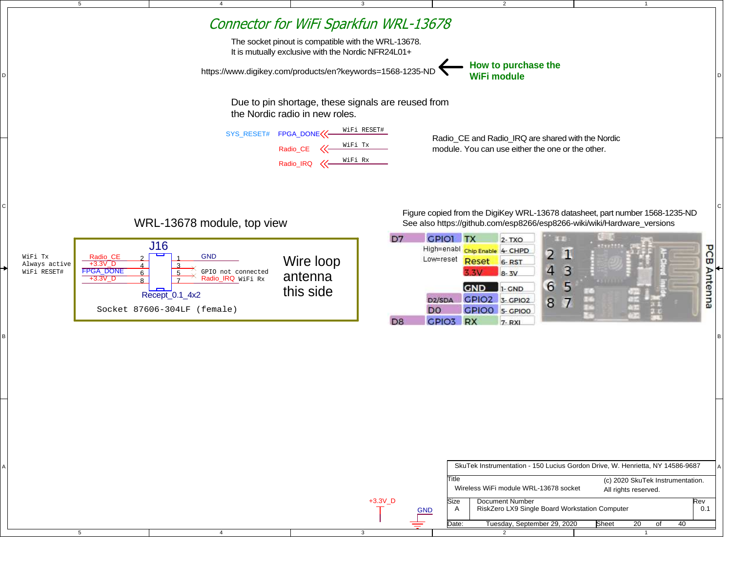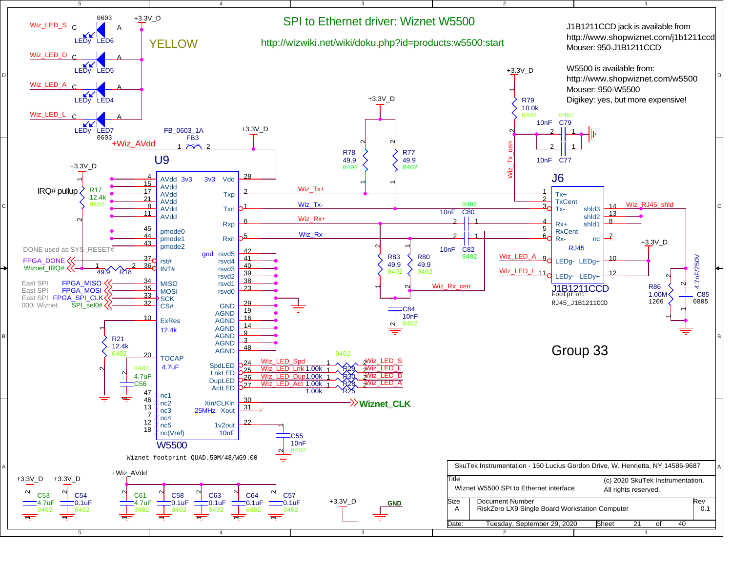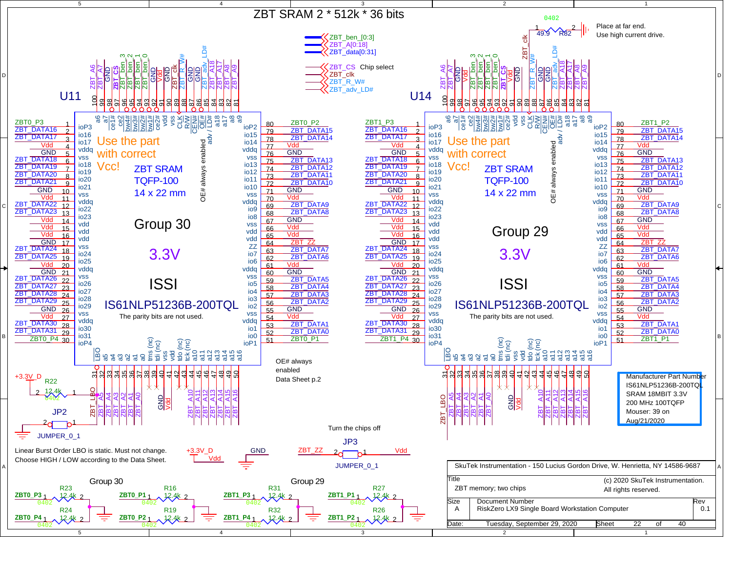